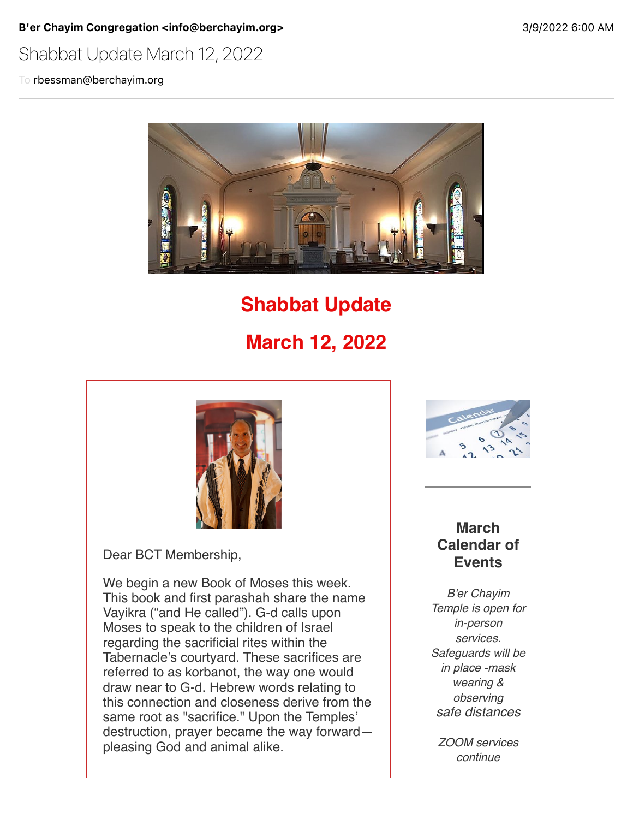B'er Chayim Congregation <info@berchayim.org>
3/9/2022 6:00 AM

### Shabbat Update March 12, 2022

To rbessman@berchayim.org



## **Shabbat Update**

# **March 12, 2022**



Dear BCT Membership,

We begin a new Book of Moses this week. This book and first parashah share the name Vayikra ("and He called"). G-d calls upon Moses to speak to the children of Israel regarding the sacrificial rites within the Tabernacle's courtyard. These sacrifices are referred to as korbanot, the way one would draw near to G-d. Hebrew words relating to this connection and closeness derive from the same root as "sacrifice." Upon the Temples' destruction, prayer became the way forward pleasing God and animal alike.



#### **March Calendar of Events**

*B'er Chayim Temple is open for in-person services. Safeguards will be in place -mask wearing & observing safe distances*

*ZOOM services continue*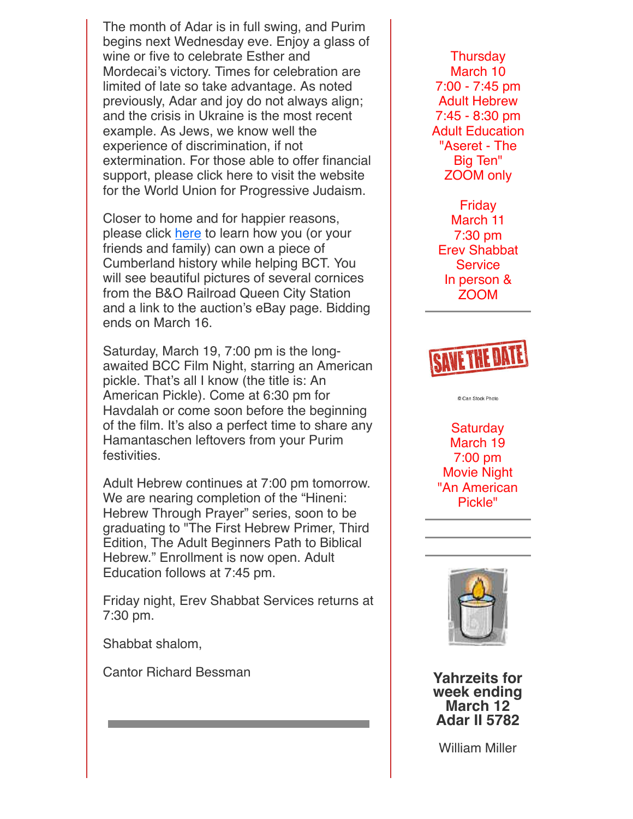The month of Adar is in full swing, and Purim begins next Wednesday eve. Enjoy a glass of wine or five to celebrate Esther and Mordecai's victory. Times for celebration are limited of late so take advantage. As noted previously, Adar and joy do not always align; and the crisis in Ukraine is the most recent example. As Jews, we know well the experience of discrimination, if not extermination. For those able to offer financial support, please click here to visit the website for the World Union for Progressive Judaism.

Closer to home and for happier reasons, please click [here](https://click.icptrack.com/icp/relay.php?r=119985007&msgid=899378&act=4970&c=592337&destination=https%3A%2F%2Fberchayim.org%2Fwp-content%2Fuploads%2Fsites%2F73%2F2022%2F02%2FQueen-City-Station-Cornice.pdf&cf=5618&v=3b9e8a361911b29802723a949921ba6ec15fa97de592ec0585533b59e33375e9) to learn how you (or your friends and family) can own a piece of Cumberland history while helping BCT. You will see beautiful pictures of several cornices from the B&O Railroad Queen City Station and a link to the auction's eBay page. Bidding ends on March 16.

Saturday, March 19, 7:00 pm is the longawaited BCC Film Night, starring an American pickle. That's all I know (the title is: An American Pickle). Come at 6:30 pm for Havdalah or come soon before the beginning of the film. It's also a perfect time to share any Hamantaschen leftovers from your Purim festivities.

Adult Hebrew continues at 7:00 pm tomorrow. We are nearing completion of the "Hineni: Hebrew Through Prayer" series, soon to be graduating to "The First Hebrew Primer, Third Edition, The Adult Beginners Path to Biblical Hebrew." Enrollment is now open. Adult Education follows at 7:45 pm.

Friday night, Erev Shabbat Services returns at 7:30 pm.

Shabbat shalom,

Cantor Richard Bessman

**Thursday** March 10 7:00 - 7:45 pm Adult Hebrew 7:45 - 8:30 pm Adult Education "Aseret - The Big Ten" ZOOM only

Friday March 11 7:30 pm Erev Shabbat **Service** In person & ZOOM



© Can Stock Photo

**Saturday** March 19 7:00 pm Movie Night "An American Pickle"



**Yahrzeits for week ending March 12 Adar II 5782**

William Miller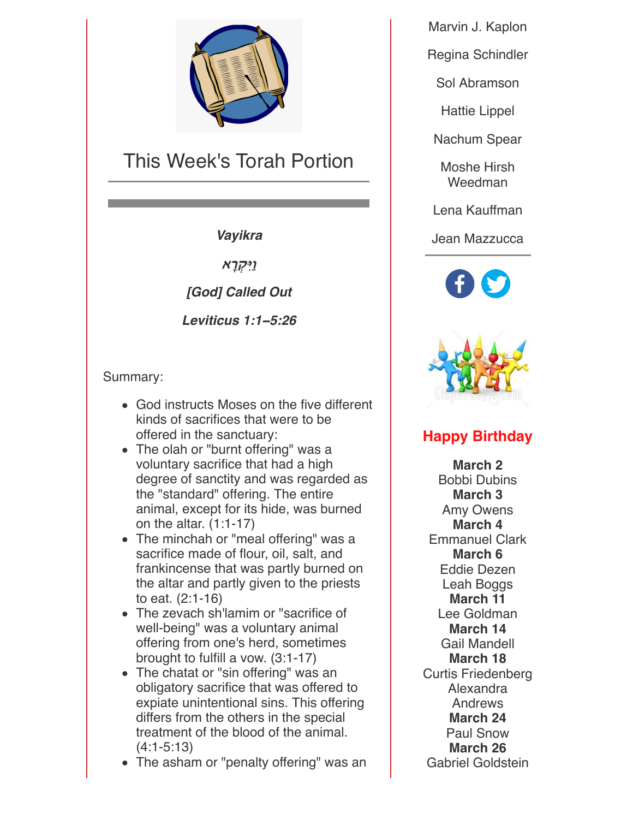

## This Week's Torah Portion

*Vayikra*

**וַיִּקְרָא** 

*[God] Called Out*

*Leviticus 1:1***−***5:26*

Summary:

- God instructs Moses on the five different kinds of sacrifices that were to be offered in the sanctuary:
- The olah or "burnt offering" was a voluntary sacrifice that had a high degree of sanctity and was regarded as the "standard" offering. The entire animal, except for its hide, was burned on the altar. (1:1-17)
- The minchah or "meal offering" was a sacrifice made of flour, oil, salt, and frankincense that was partly burned on the altar and partly given to the priests to eat. (2:1-16)
- The zevach sh'lamim or "sacrifice of well-being" was a voluntary animal offering from one's herd, sometimes brought to fulfill a vow. (3:1-17)
- The chatat or "sin offering" was an obligatory sacrifice that was offered to expiate unintentional sins. This offering differs from the others in the special treatment of the blood of the animal. (4:1-5:13)
- The asham or "penalty offering" was an

Marvin J. Kaplon

Regina Schindler

Sol Abramson

Hattie Lippel

Nachum Spear

Moshe Hirsh Weedman

Lena Kauffman

Jean Mazzucca





#### **Happy Birthday**

**March 2** Bobbi Dubins **March 3** Amy Owens **March 4** Emmanuel Clark **March 6** Eddie Dezen Leah Boggs **March 11** Lee Goldman **March 14** Gail Mandell **March 18** Curtis Friedenberg Alexandra Andrews **March 24** Paul Snow **March 26** Gabriel Goldstein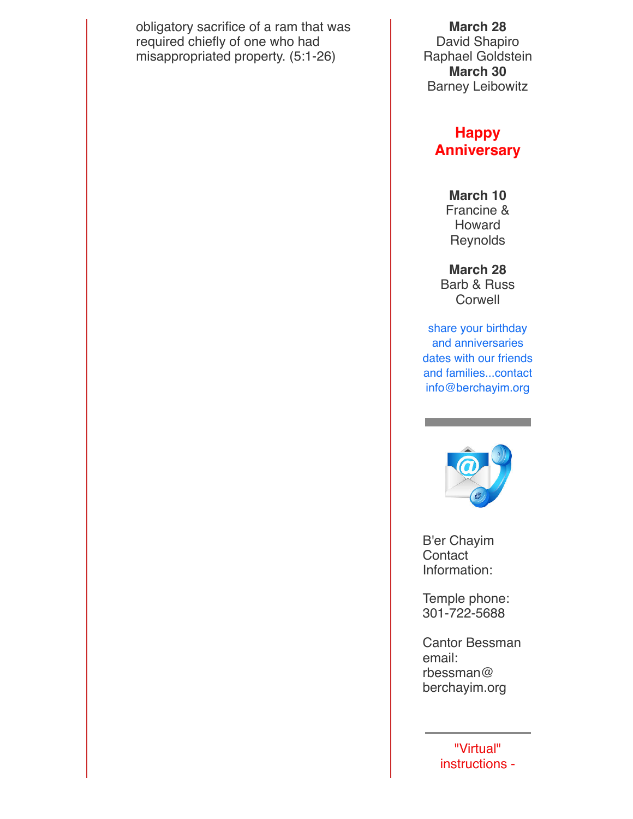obligatory sacrifice of a ram that was required chiefly of one who had misappropriated property. (5:1-26)

**March 28**

David Shapiro Raphael Goldstein **March 30** Barney Leibowitz

#### **Happy Anniversary**

**March 10** Francine & Howard **Reynolds** 

**March 28** Barb & Russ **Corwell** 

share your birthday and anniversaries dates with our friends and families...contact info@berchayim.org



B'er Chayim **Contact** Information:

Temple phone: 301-722-5688

Cantor Bessman email: rbessman@ berchayim.org

> "Virtual" instructions -